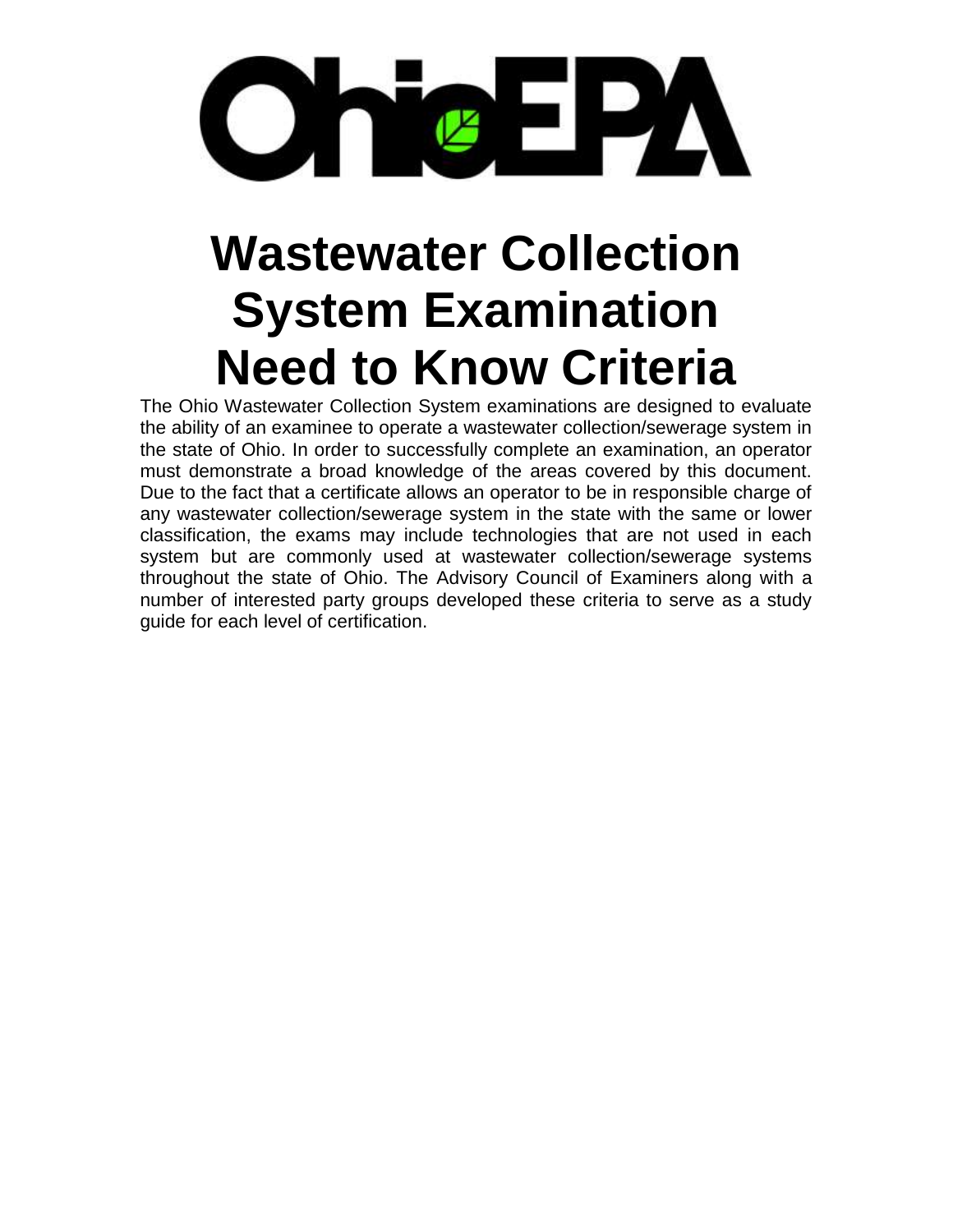

# **Wastewater Collection System Examination Need to Know Criteria**

The Ohio Wastewater Collection System examinations are designed to evaluate the ability of an examinee to operate a wastewater collection/sewerage system in the state of Ohio. In order to successfully complete an examination, an operator must demonstrate a broad knowledge of the areas covered by this document. Due to the fact that a certificate allows an operator to be in responsible charge of any wastewater collection/sewerage system in the state with the same or lower classification, the exams may include technologies that are not used in each system but are commonly used at wastewater collection/sewerage systems throughout the state of Ohio. The Advisory Council of Examiners along with a number of interested party groups developed these criteria to serve as a study guide for each level of certification.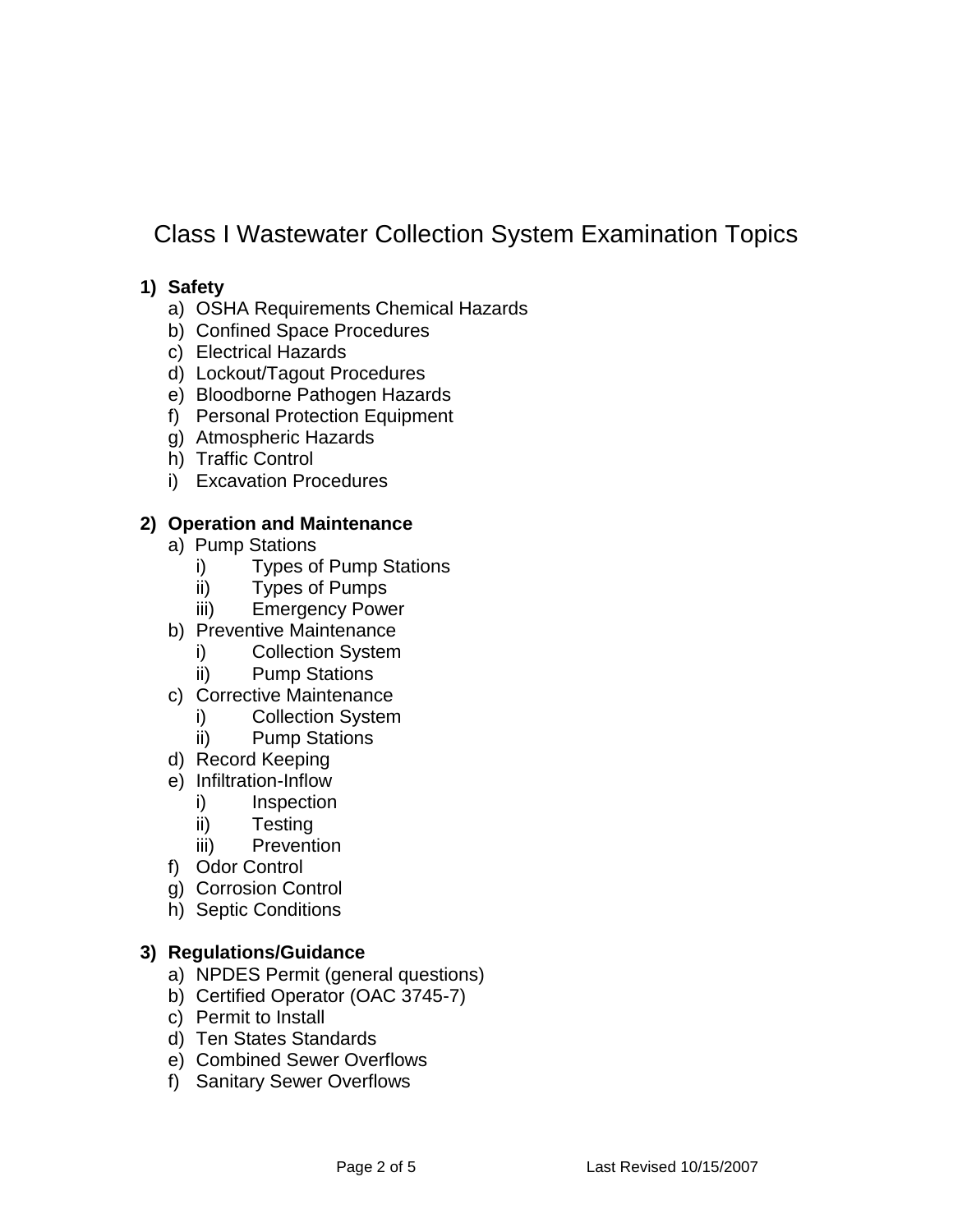# Class I Wastewater Collection System Examination Topics

## **1) Safety**

- a) OSHA Requirements Chemical Hazards
- b) Confined Space Procedures
- c) Electrical Hazards
- d) Lockout/Tagout Procedures
- e) Bloodborne Pathogen Hazards
- f) Personal Protection Equipment
- g) Atmospheric Hazards
- h) Traffic Control
- i) Excavation Procedures

## **2) Operation and Maintenance**

- a) Pump Stations
	- i) Types of Pump Stations
	- ii) Types of Pumps
	- iii) Emergency Power
- b) Preventive Maintenance
	- i) Collection System
	- ii) Pump Stations
- c) Corrective Maintenance
	- i) Collection System
	- ii) Pump Stations
- d) Record Keeping
- e) Infiltration-Inflow
	- i) Inspection
	- ii) Testing
	- iii) Prevention
- f) Odor Control
- g) Corrosion Control
- h) Septic Conditions

#### **3) Regulations/Guidance**

- a) NPDES Permit (general questions)
- b) Certified Operator (OAC 3745-7)
- c) Permit to Install
- d) Ten States Standards
- e) Combined Sewer Overflows
- f) Sanitary Sewer Overflows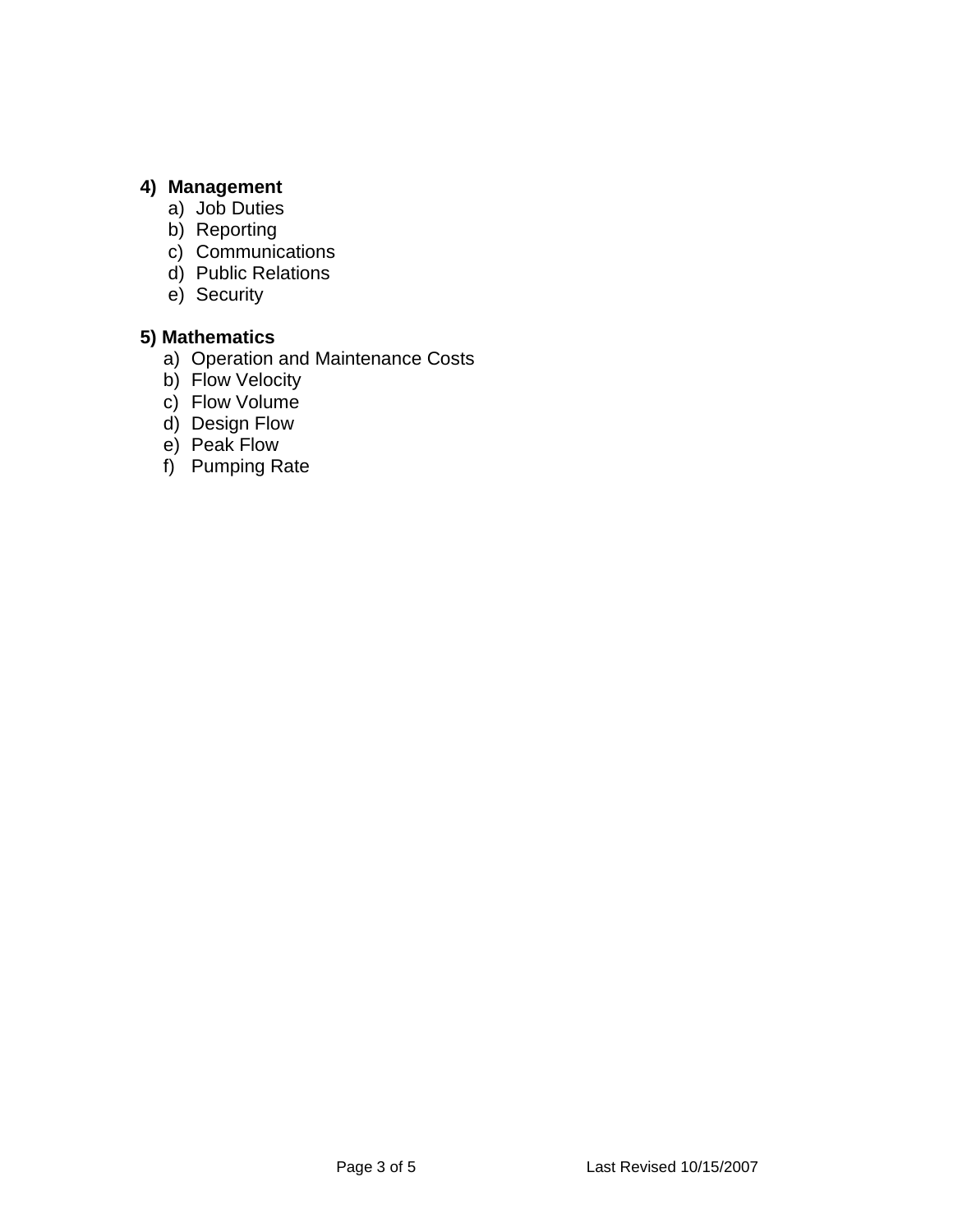# **4) Management**

- a) Job Duties
- b) Reporting
- c) Communications
- d) Public Relations
- e) Security

# **5) Mathematics**

- a) Operation and Maintenance Costs
- b) Flow Velocity
- c) Flow Volume
- d) Design Flow
- e) Peak Flow
- f) Pumping Rate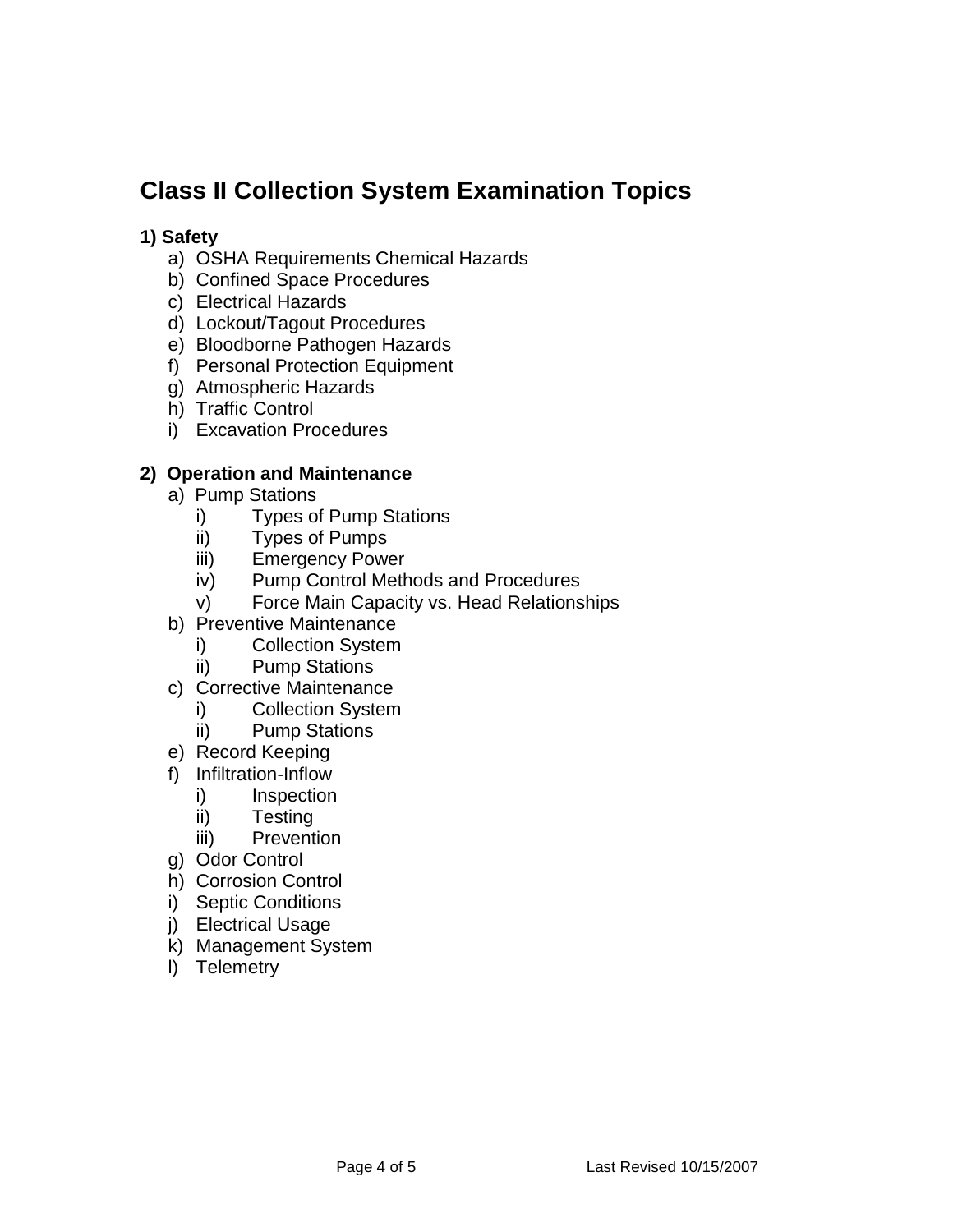# **Class II Collection System Examination Topics**

## **1) Safety**

- a) OSHA Requirements Chemical Hazards
- b) Confined Space Procedures
- c) Electrical Hazards
- d) Lockout/Tagout Procedures
- e) Bloodborne Pathogen Hazards
- f) Personal Protection Equipment
- g) Atmospheric Hazards
- h) Traffic Control
- i) Excavation Procedures

# **2) Operation and Maintenance**

- a) Pump Stations
	- i) Types of Pump Stations
	- ii) Types of Pumps
	- iii) Emergency Power
	- iv) Pump Control Methods and Procedures
	- v) Force Main Capacity vs. Head Relationships
- b) Preventive Maintenance
	- i) Collection System
	- ii) Pump Stations
- c) Corrective Maintenance
	- i) Collection System
	- ii) Pump Stations
- e) Record Keeping
- f) Infiltration-Inflow
	- i) Inspection
	- ii) Testing
	- iii) Prevention
- g) Odor Control
- h) Corrosion Control
- i) Septic Conditions
- j) Electrical Usage
- k) Management System
- l) Telemetry